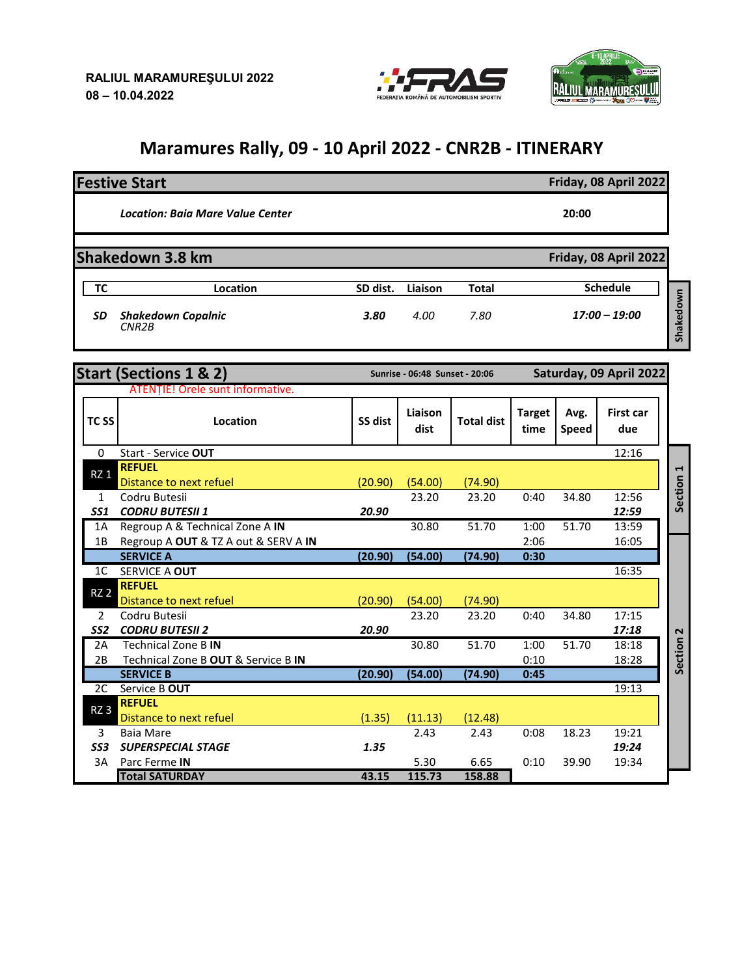



## **Maramures Rally, 09 - 10 April 2022 - CNR2B - ITINERARY**

|    | <b>Festive Start</b>                            | Friday, 08 April 2022 |         |              |                              |
|----|-------------------------------------------------|-----------------------|---------|--------------|------------------------------|
|    | <b>Location: Baia Mare Value Center</b>         |                       | 20:00   |              |                              |
|    | Shakedown 3.8 km                                |                       |         |              | Friday, 08 April 2022        |
| ТС | Location                                        | SD dist.              | Liaison | <b>Total</b> | <b>Schedule</b>              |
| SD | <b>Shakedown Copalnic</b><br>CNR <sub>2</sub> B | 3.80                  | 4.00    | 7.80         | Shakedown<br>$17:00 - 19:00$ |

|                  | <b>Start (Sections 1 &amp; 2)</b>        | Sunrise - 06:48 Sunset - 20:06 |                 |                   | Saturday, 09 April 2022 |                      |                         |                                  |
|------------------|------------------------------------------|--------------------------------|-----------------|-------------------|-------------------------|----------------------|-------------------------|----------------------------------|
|                  | <b>ATENTIE! Orele sunt informative.</b>  |                                |                 |                   |                         |                      |                         |                                  |
| TC <sub>SS</sub> | Location                                 | SS dist                        | Liaison<br>dist | <b>Total dist</b> | <b>Target</b><br>time   | Avg.<br><b>Speed</b> | <b>First car</b><br>due |                                  |
| $\Omega$         | Start - Service OUT                      |                                |                 |                   |                         |                      | 12:16                   |                                  |
| RZ <sub>1</sub>  | <b>REFUEL</b><br>Distance to next refuel | (20.90)                        | (54.00)         | (74.90)           |                         |                      |                         | $\blacktriangleright$<br>Section |
| 1                | Codru Butesii                            |                                | 23.20           | 23.20             | 0:40                    | 34.80                | 12:56                   |                                  |
| <b>SS1</b>       | <b>CODRU BUTESII 1</b>                   | 20.90                          |                 |                   |                         |                      | 12:59                   |                                  |
| 1A               | Regroup A & Technical Zone A IN          |                                | 30.80           | 51.70             | 1:00                    | 51.70                | 13:59                   |                                  |
| 1B               | Regroup A OUT & TZ A out & SERV A IN     |                                |                 |                   | 2:06                    |                      | 16:05                   |                                  |
|                  | <b>SERVICE A</b>                         | (20.90)                        | (54.00)         | (74.90)           | 0:30                    |                      |                         |                                  |
| 1 <sup>C</sup>   | SERVICE A OUT                            |                                |                 |                   |                         |                      | 16:35                   |                                  |
| <b>RZ 2</b>      | <b>REFUEL</b><br>Distance to next refuel | (20.90)                        | (54.00)         | (74.90)           |                         |                      |                         |                                  |
| 2                | Codru Butesii                            |                                | 23.20           | 23.20             | 0:40                    | 34.80                | 17:15                   |                                  |
| SS <sub>2</sub>  | <b>CODRU BUTESII 2</b>                   | 20.90                          |                 |                   |                         |                      | 17:18                   |                                  |
| 2A               | <b>Technical Zone B IN</b>               |                                | 30.80           | 51.70             | 1:00                    | 51.70                | 18:18                   |                                  |
| 2B               | Technical Zone B OUT & Service B IN      |                                |                 |                   | 0:10                    |                      | 18:28                   | Section <sub>2</sub>             |
|                  | <b>SERVICE B</b>                         | (20.90)                        | (54.00)         | (74.90)           | 0:45                    |                      |                         |                                  |
| 2C               | Service B OUT                            |                                |                 |                   |                         |                      | 19:13                   |                                  |
| RZ <sub>3</sub>  | <b>REFUEL</b><br>Distance to next refuel | (1.35)                         | (11.13)         | (12.48)           |                         |                      |                         |                                  |
| 3                | <b>Baia Mare</b>                         |                                | 2.43            | 2.43              | 0:08                    | 18.23                | 19:21                   |                                  |
| SS <sub>3</sub>  | <b>SUPERSPECIAL STAGE</b>                | 1.35                           |                 |                   |                         |                      | 19:24                   |                                  |
| 3A               | Parc Ferme IN                            |                                | 5.30            | 6.65              | 0:10                    | 39.90                | 19:34                   |                                  |
|                  | <b>Total SATURDAY</b>                    | 43.15                          | 115.73          | 158.88            |                         |                      |                         |                                  |